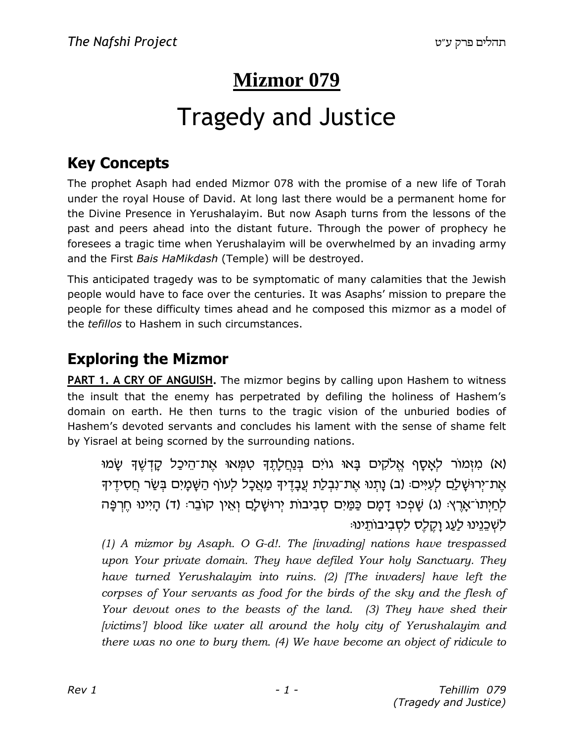# Mizmor 079

# **Tragedy and Justice**

#### **Key Concepts**

The prophet Asaph had ended Mizmor 078 with the promise of a new life of Torah under the royal House of David. At long last there would be a permanent home for the Divine Presence in Yerushalayim. But now Asaph turns from the lessons of the past and peers ahead into the distant future. Through the power of prophecy he foresees a tragic time when Yerushalayim will be overwhelmed by an invading army and the First Bais HaMikdash (Temple) will be destroyed.

This anticipated tragedy was to be symptomatic of many calamities that the Jewish people would have to face over the centuries. It was Asaphs' mission to prepare the people for these difficulty times ahead and he composed this mizmor as a model of the *tefillos* to Hashem in such circumstances.

#### **Exploring the Mizmor**

**PART 1. A CRY OF ANGUISH.** The mizmor begins by calling upon Hashem to witness the insult that the enemy has perpetrated by defiling the holiness of Hashem's domain on earth. He then turns to the tragic vision of the unburied bodies of Hashem's devoted servants and concludes his lament with the sense of shame felt by Yisrael at being scorned by the surrounding nations.

(א) מַזְמוֹר לְאֲסֵף אֱלֹקִים בַּאוּ גוֹיִם בְּנַחֲלָתֶךָ טְמָאוּ אֶת־הֵיכֲל קַדְשֶׁךָ שַׂמוּ אֶת־יִרוּשָׁלַָם לְעִיִּים: (ב) נַתְנוּ אֶת־נְבְלַת עֲבָדֵיךָ מַאֲכָל לְעוֹף הַשָּׁמַיִם בִּשַׂר חֲסִידֵיךָ לְחַיִּתוֹ־אָרֵץ: (ג) שָׁפְכוּ דָמָם כַּמַּיִם סְבִיבוֹת יְרוּשָׁלָם וְאֵין קוֹבֵר: (ד) הָיִינוּ חֶרְפָּה לְשָׁכֵּנֵינוּ לַעֲג וַקֶלֶס לְסָבִיבוֹתֵינוּ:

(1) A mizmor by Asaph. O G-d!. The *[invading]* nations have trespassed upon Your private domain. They have defiled Your holy Sanctuary. They have turned Yerushalayim into ruins. (2) [The invaders] have left the corpses of Your servants as food for the birds of the sky and the flesh of Your devout ones to the beasts of the land. (3) They have shed their [victims'] blood like water all around the holy city of Yerushalayim and there was no one to bury them. (4) We have become an object of ridicule to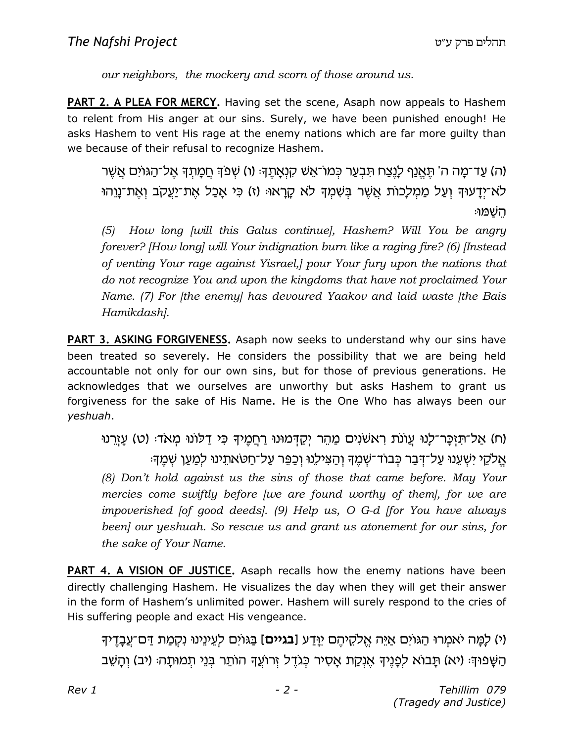*our neighbors, the mockery and scorn of those around us.*

**PART 2. A PLEA FOR MERCY.** Having set the scene, Asaph now appeals to Hashem to relent from His anger at our sins. Surely, we have been punished enough! He asks Hashem to vent His rage at the enemy nations which are far more guilty than we because of their refusal to recognize Hashem.

ה) עֲד־מַה ה' תַּאֲנַף לַנַצַח תַּבְעַר כְּמוֹ־אֲשׁ קָנָאַתֵהָ: (ו) שִׁפֹּדְ חֲמַתַדְ אֲל־הַגּוֹיִם אֲשֶׁר) (ה לֹא־יִדֲעוּךְ וְעַל מַמְלָכוֹת אֲשֶׁר בִּשְׁמִךְ לֹא קָרָאוּּ (ז) כִּי אֲכַל אֶת־יַעֲקֹב וְאֶת־נֵוְהוּ ּהשׁמוּ

*(5) How long [will this Galus continue], Hashem? Will You be angry forever? [How long] will Your indignation burn like a raging fire? (6) [Instead of venting Your rage against Yisrael,] pour Your fury upon the nations that do not recognize You and upon the kingdoms that have not proclaimed Your Name. (7) For [the enemy] has devoured Yaakov and laid waste [the Bais Hamikdash].*

PART 3. ASKING FORGIVENESS</u>. Asaph now seeks to understand why our sins have been treated so severely. He considers the possibility that we are being held accountable not only for our own sins, but for those of previous generations. He acknowledges that we ourselves are unworthy but asks Hashem to grant us forgiveness for the sake of His Name. He is the One Who has always been our *yeshuah*.

ים) אַל־תּוָכֵּר־לַנוּ עֲוֹנֹת רְאשׁנִים מֲהֶר יִקַדְּמוּנוּ רַחֲמֵיךָ כִּי דַלוֹנוּ מְאֹדּ: (ט) עַזֶרְנוּ) :שֱלֹקֱי יִשְׁעֲנוּ עַל־דְּבַר כִּבוֹד־שָׁמֱךְ וַהַצִּילֶנוּ וְכַפֵּר עַל־חַטֹּאתֵינוּ לִמַעֲן שָׁמֵדָּ *(8) Don't hold against us the sins of those that came before. May Your mercies come swiftly before [we are found worthy of them], for we are impoverished [of good deeds]. (9) Help us, O G-d [for You have always been] our yeshuah. So rescue us and grant us atonement for our sins, for the sake of Your Name.*

**PART 4. A VISION OF JUSTICE.** Asaph recalls how the enemy nations have been directly challenging Hashem. He visualizes the day when they will get their answer in the form of Hashem's unlimited power. Hashem will surely respond to the cries of His suffering people and exact His vengeance.

ו׳) לַמֵּה יֹאמֵרוּ הַגּוֹיִם <u>אֵי</u>ּה אֱלֹקֶיהֵם יַוּדַע [**בגיים**] בַּגּוֹיָם לְעֵינֵינוּ נִקְמַת דַּם־עֲבַדֵיד הַשָּׁפוּךְ׃ (יא) תָבוֹא לִפָּנֵיךְ אֵנְקַת אָסִיר כִּגֹדֵל זְרוֹעֵךְ הוֹתֵר בְּנֵי תִמוּתָה׃ (יב) וְהָשֵׁב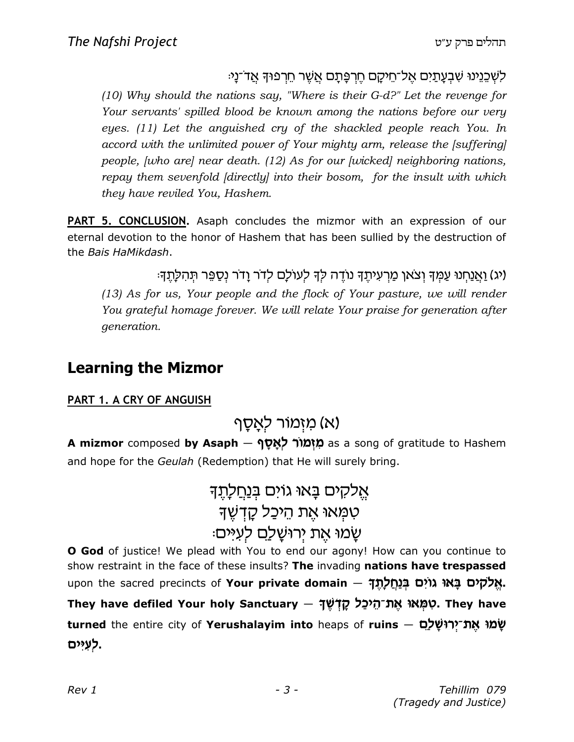#### ּלְשְׁכֵּנֵינוּ שִׁבְעַתַיִם אֱל־חֵיקַם חֵרְפַּתַם אֲשֶׁר חֵרְפוּךָ אֲדֹ־נַיּ

 $(10)$  Why should the nations say, "Where is their G-d?" Let the revenge for Your servants' spilled blood be known among the nations before our very eyes. (11) Let the anguished cry of the shackled people reach You. In accord with the unlimited power of Your mighty arm, release the [suffering] people, *[who are] near death.* (12) As for our *[wicked] neighboring nations*, repay them sevenfold [directly] into their bosom, for the insult with which they have reviled You, Hashem.

PART 5. CONCLUSION. Asaph concludes the mizmor with an expression of our eternal devotion to the honor of Hashem that has been sullied by the destruction of the Bais HaMikdash.

(יג) ואנחנו עמד וצאו מרעיתד נודה לד לעולם לדר ודר נספר תהלתד:

(13) As for us, Your people and the flock of Your pasture, we will render You grateful homage forever. We will relate Your praise for generation after generation.

#### **Learning the Mizmor**

#### PART 1. A CRY OF ANGUISH

### (א) מזמור לאַסַף

A mizmor composed by Asaph – מְזָמוֹר לְאֵסֵף as a song of gratitude to Hashem and hope for the Geulah (Redemption) that He will surely bring.

> אֵלקים בַאוּ גוֹים ב<u>נחלת</u>ד טמאו את היכל קדשד שַמוּ אֶת יְרוּשַׁלַָם לְעִיּּם:

O God of justice! We plead with You to end our agony! How can you continue to show restraint in the face of these insults? The invading nations have trespassed upon the sacred precincts of Your private domain - אֲלֹקִים בַּאוּ גוֹיָם בַּנַחֲלַתְדָּ They have defiled Your holy Sanctuary - סְמָאוּ אֲת־הֶיכָל קַדְּשֶׁךָּ. They have turned the entire city of Yerushalayim into heaps of ruins - שָׁמוּ אֱת־יְרוּשֶׁלְם לעיים.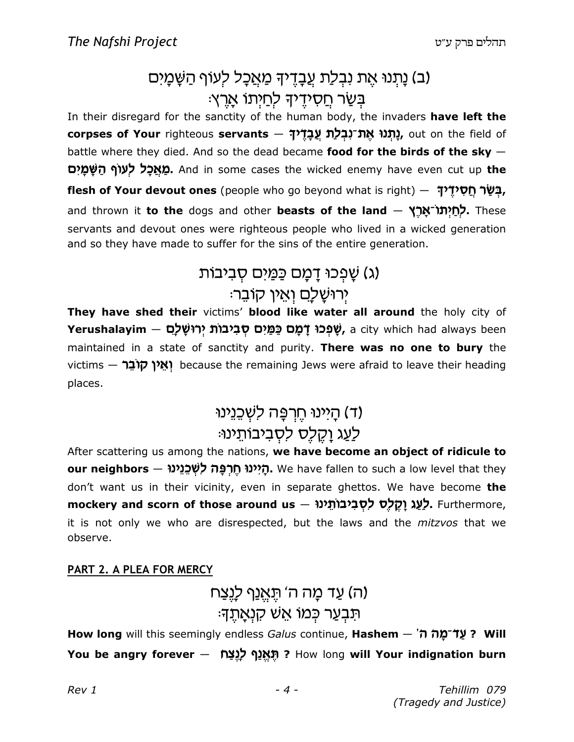### (ב) נָתְנוּ אֶת נִבְלַת עֲבָדֵיךָ מַאֲכָל לְעוֹף הַשָּׁמָיִם ּבִּשַׂר חַסְידֵיךָ לְחַיְתוֹ אָרֵץ.

In their disregard for the sanctity of the human body, the invaders have left the corpses of Your righteous servants – נְתְנוּ אֲת־נְבְלַת עֲבַדֶלךָ out on the field of battle where they died. And so the dead became food for the birds of the sky  $-$ **מַאֵכַל לְעוֹף הַשֵּׁמַיִּם.** And in some cases the wicked enemy have even cut up **the flesh of Your devout ones** (people who go beyond what is right) – בְּשַׂר חֵסְלוּדָ, and thrown it to the dogs and other beasts of the land - לְחַיְתוֹ־אֲרֵץ servants and devout ones were righteous people who lived in a wicked generation and so they have made to suffer for the sins of the entire generation.

# (ג) שַׁפְכוּ דַמַּם כַּמַּיִם סְבִיבוֹת ירוּשלם ואין קובר:

They have shed their victims' blood like water all around the holy city of **Yerushalayim – שָׁפְּכוּ דָּמָט כַּמַּיִם כַּמַּיָם בָּמַי** , a city which had always been maintained in a state of sanctity and purity. There was no one to bury the victims - יְאֵין קוֹבֶר because the remaining Jews were afraid to leave their heading places.

# (ד) היינוּ חֵרְפֵּה לְשָׁכֵנֵינוּ לַעֲג וַקֶלָס לְסָבִיבוֹתֵינוּ:

After scattering us among the nations, we have become an object of ridicule to our neighbors — הַיִּינוּ חֵרְפָּה לְשְׁבֶנֶינוּ We have fallen to such a low level that they don't want us in their vicinity, even in separate ghettos. We have become the mockery and scorn of those around us – לְעַג וַקֵלְס לִסְבִיבוֹתֵינוּ, Furthermore, it is not only we who are disrespected, but the laws and the *mitzvos* that we observe.

#### PART 2. A PLEA FOR MERCY

#### (ה) עַד מַה ה' תֵּאֵנַף לַנֵצַח ּתִּבְעַר כְּמוֹ אֵשׁ קִנְאַתֵךּ׃

How long will this seemingly endless Galus continue, Hashem - 'חֲל־מַה ה' You be angry forever – תַּאֲנֵף לַנַצָּח ? How long will Your indignation burn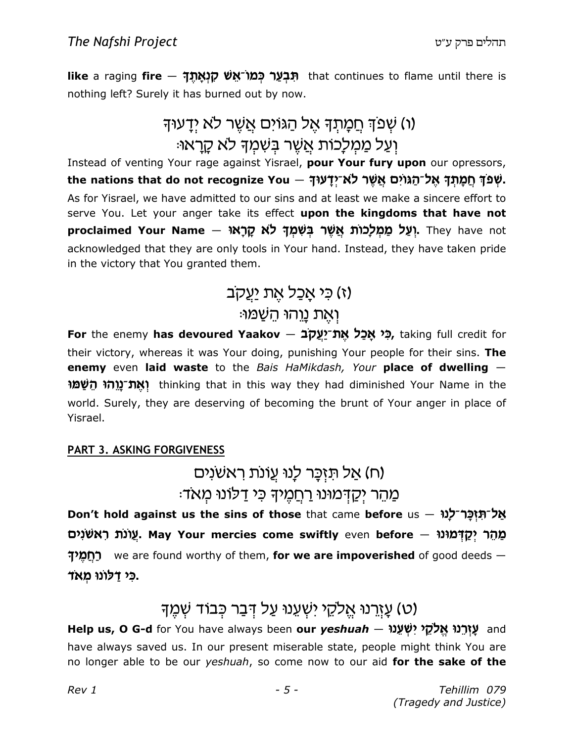like a raging fire — תְּבְעַר כְּמוֹ־אֵשׁ קָנְאַתֵּךְ that continues to flame until there is nothing left? Surely it has burned out by now.

# (ו) שִׁפוּ חֲמַתִךְ אֵל הַגּוֹיִם אֲשֶׁר לֹא יָדָעוּךָ וִעַל מַמִלְכוּת אֲשֶׁר בִּשְׁמִךְ לֹא קָרָאוּ:

Instead of venting Your rage against Yisrael, pour Your fury upon our opressors, the nations that do not recognize You – שְׁפֹךְ אֱל־הַגּוֹיִם אֲשֶׁר לֹא־יִדָּעוּךְ – As for Yisrael, we have admitted to our sins and at least we make a sincere effort to serve You. Let your anger take its effect upon the kingdoms that have not proclaimed Your Name – יִעֲל מַמְלַכוֹת אֲשֶׁר בִּשְׁמָךְ לֹא קַרָאוּ. They have not acknowledged that they are only tools in Your hand. Instead, they have taken pride in the victory that You granted them.

#### (ז) כי אכל את יעקב

#### ּוְאֵת נֵוְהוּ הֵשָׁמוּ

For the enemy has devoured Yaakov – פְּנ אֲכָל אֱתֹ־יַעֲקֹב, taking full credit for their victory, whereas it was Your doing, punishing Your people for their sins. The enemy even laid waste to the Bais HaMikdash, Your place of dwelling -ואת־נוהו השמו thinking that in this way they had diminished Your Name in the world. Surely, they are deserving of becoming the brunt of Your anger in place of Yisrael.

#### **PART 3. ASKING FORGIVENESS**

### (ח) אַל תּזְכַּר לְנוּ עֲוֹנת ראשׁנים מַהֶר יִקַדְמוּנוּ רַחֲמִידְ כִּי דַלוֹנוּ מַאִד:

Don't hold against us the sins of those that came before us - אֲל־תְוָכֵּר־לַנוּ עֵוֹנֹת רְאָשׁנִים May Your mercies come swiftly even before – עֵוֹנֹת רָאשׁנִים רֹחָמֶיךָ we are found worthy of them, for we are impoverished of good deeds -כִּי דָּלוֹנוּ מַאֹד.

# (ט) עָזְרֵנוּ אֱלִקֶי יִשְׁעֵנוּ עַל דְּבַר כִּבוֹד שָׁמֵךְ

Help us, O G-d for You have always been our yeshuah — עֵזְרֵנוּ אֱלֹקֶי יִשְׁעֲנוּ — Help us, O G-d for You have always been our yeshuah have always saved us. In our present miserable state, people might think You are no longer able to be our yeshuah, so come now to our aid for the sake of the

Rev 1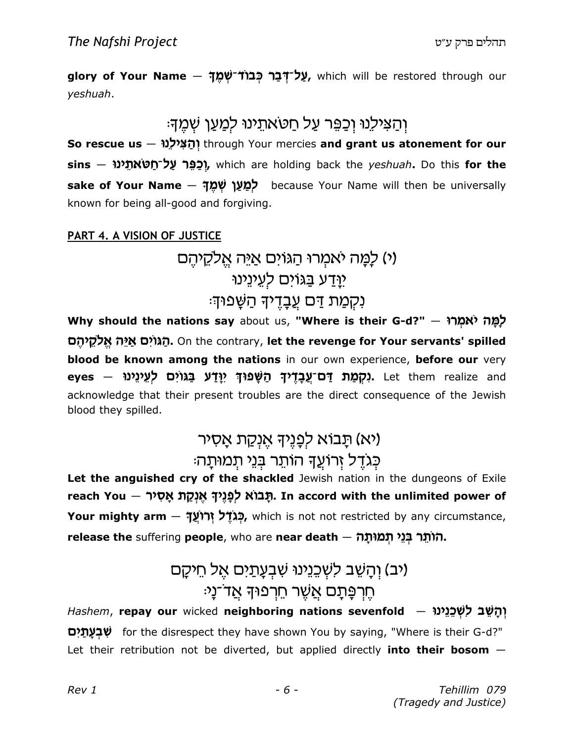glory of Your Name – עֲל־דָּבַר כְּבוֹד־שָׁמֵךְ, which will be restored through our veshuah.

#### וְהַצִּילֶנוּ וְכַפֵּר עַל חַטאתֵינוּ לִמַעַן שְׁמֵךָ<del>ּ</del>

So rescue us - וְהָצִילְנוּ through Your mercies and grant us atonement for our sins — וְכָפֵּר עַל־חַטאתֵינוּ, which are holding back the yeshuah. Do this for the sake of Your Name - לְמַעַן שְׁמֵךְ because Your Name will then be universally known for being all-good and forgiving.

#### PART 4. A VISION OF JUSTICE

### (י) לָמַה יאמִרוּ הַגּוֹים אַיֵּה אֱלקֵיהֵם יַוּדַע בַגוֹים לְעֵינֵינוּ נִקְמַת דַּם עֵבָדֵיךָ הַשָּׁפוּךְ:

Why should the nations say about us, "Where is their G-d?" - אמְרוּ אוֹ הגוים איה אלקיהם. On the contrary, let the revenge for Your servants' spilled blood be known among the nations in our own experience, before our very eyes – נְקָמַת דָּם־עֲבָדֶיךָ הַשַּׁפוּךְ יַוַדַע בַגוֹיִם לְעֵינֵינוּ. Let them realize and acknowledge that their present troubles are the direct consequence of the Jewish blood they spilled.

### (יא) תַבוֹא לְפַנֵיךְ אֵנְקַת אַסָיר כִּגְדֵל זְרוֹעֲךָ הוֹתֵר בִּנֵי תִמוּתָהּ

Let the anguished cry of the shackled Jewish nation in the dungeons of Exile reach You – תַּבוֹא לְפְנֵיךָ אֲנְקָת אֵסְיר, In accord with the unlimited power of Your mighty arm – כְּגֹדֶל זְרוֹעֵךְ, which is not not restricted by any circumstance, release the suffering people, who are near death - הוֹתֵר בְּנֵי תְמוּתַה

### (יב) וְהַשֶׁב לְשְׁבֶנֵינוּ שְׁבְעֲתַיִם אֵל חֵיקַם ּחֵרְפֵּתַם אֲשֶׁר חֵרְפוּדְ אֲד־נַי

flashem, repay our wicked neighboring nations sevenfold – וְהַשֵּׁב לְשְׁבֵנֵינוּ **שִׁבְעַתַיִם** for the disrespect they have shown You by saying, "Where is their G-d?" Let their retribution not be diverted, but applied directly into their bosom  $-$